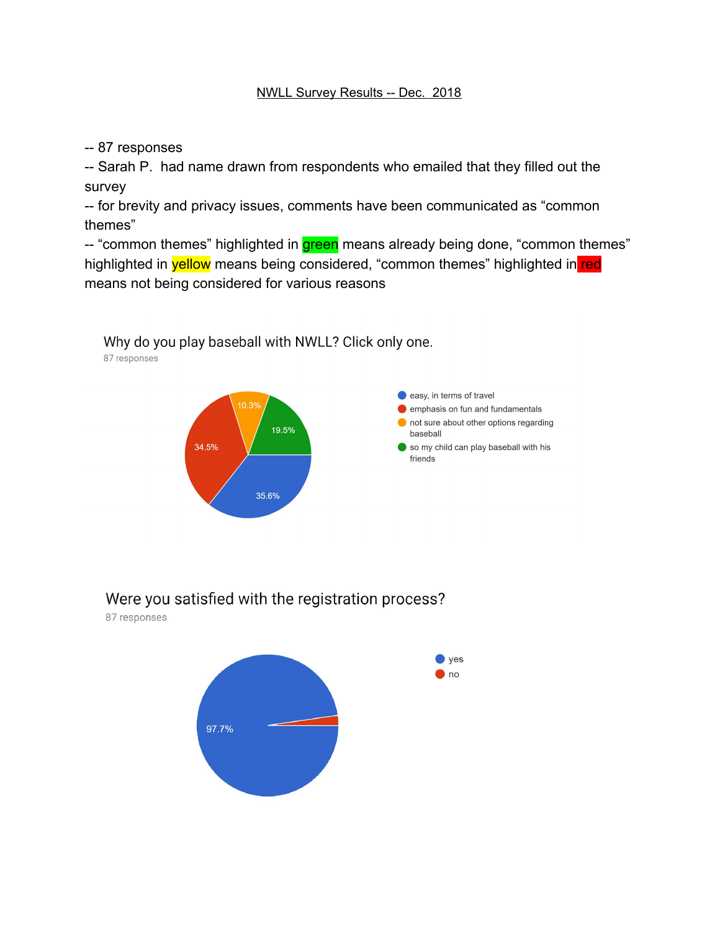-- 87 responses

87 responses

-- Sarah P. had name drawn from respondents who emailed that they filled out the survey

-- for brevity and privacy issues, comments have been communicated as "common themes"

-- "common themes" highlighted in **green** means already being done, "common themes" highlighted in **yellow** means being considered, "common themes" highlighted in red means not being considered for various reasons



Why do you play baseball with NWLL? Click only one.

Were you satisfied with the registration process?

87 responses

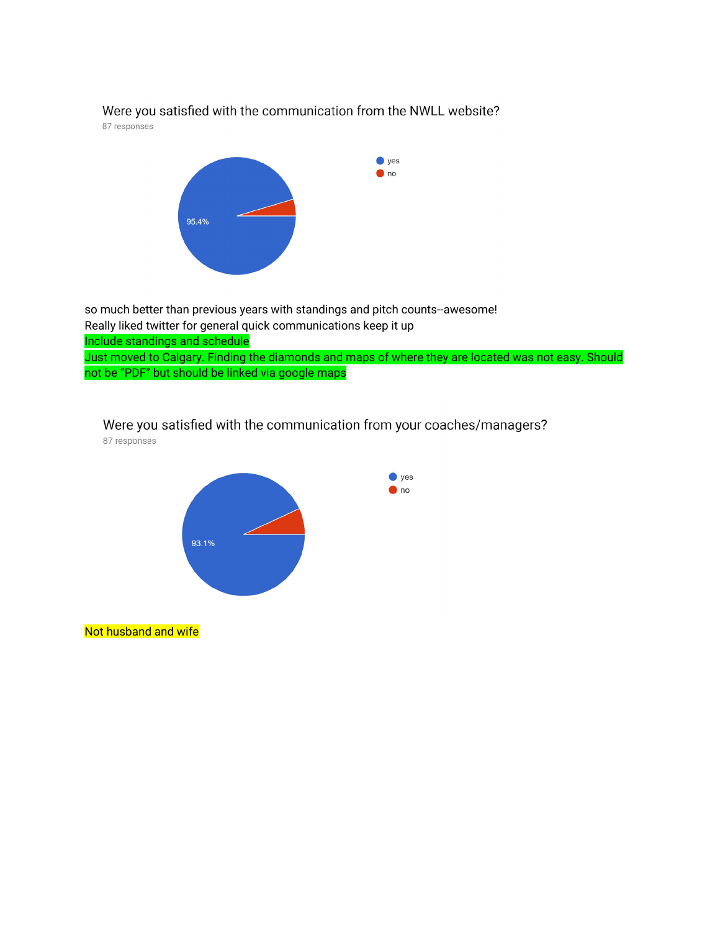#### Were you satisfied with the communication from the NWLL website?

87 responses



so much better than previous years with standings and pitch counts--awesome! Really liked twitter for general quick communications keep it up Include standings and schedule Just moved to Calgary. Finding the diamonds and maps of where they are located was not easy. Should not be "PDF" but should be linked via google maps

# Were you satisfied with the communication from your coaches/managers?

87 responses



Not husband and wife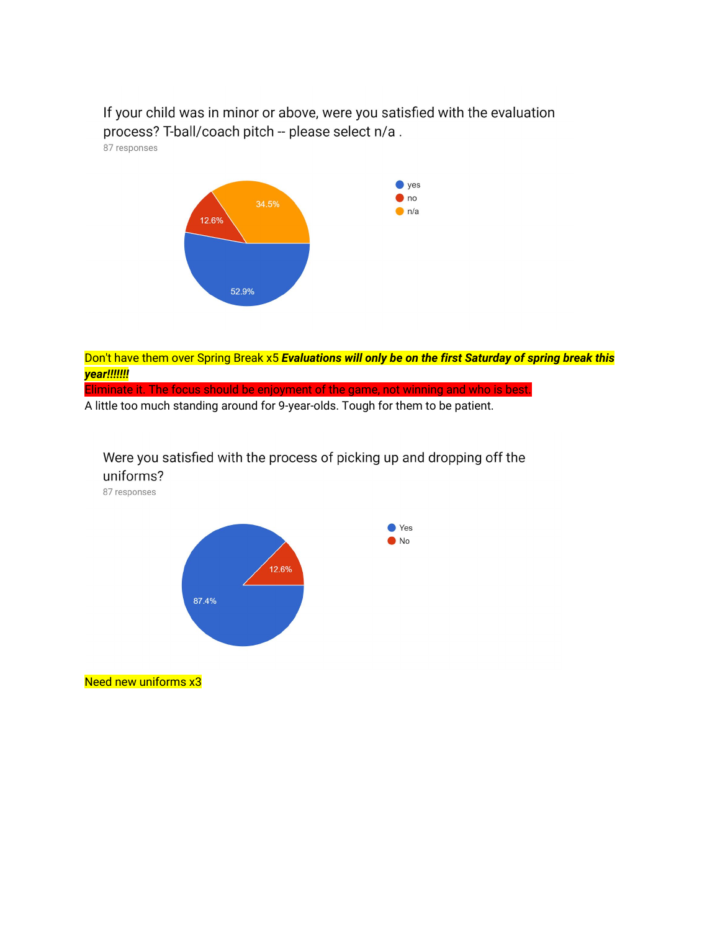If your child was in minor or above, were you satisfied with the evaluation process? T-ball/coach pitch -- please select n/a.

87 responses



Don't have them over Spring Break x5 *Evaluations will only be on the first Saturday of spring break this year!!!!!!!*

Eliminate it. The focus should be enjoyment of the game, not winning and who is best.

A little too much standing around for 9-year-olds. Tough for them to be patient.

#### Were you satisfied with the process of picking up and dropping off the uniforms?

87 responses



Need new uniforms x3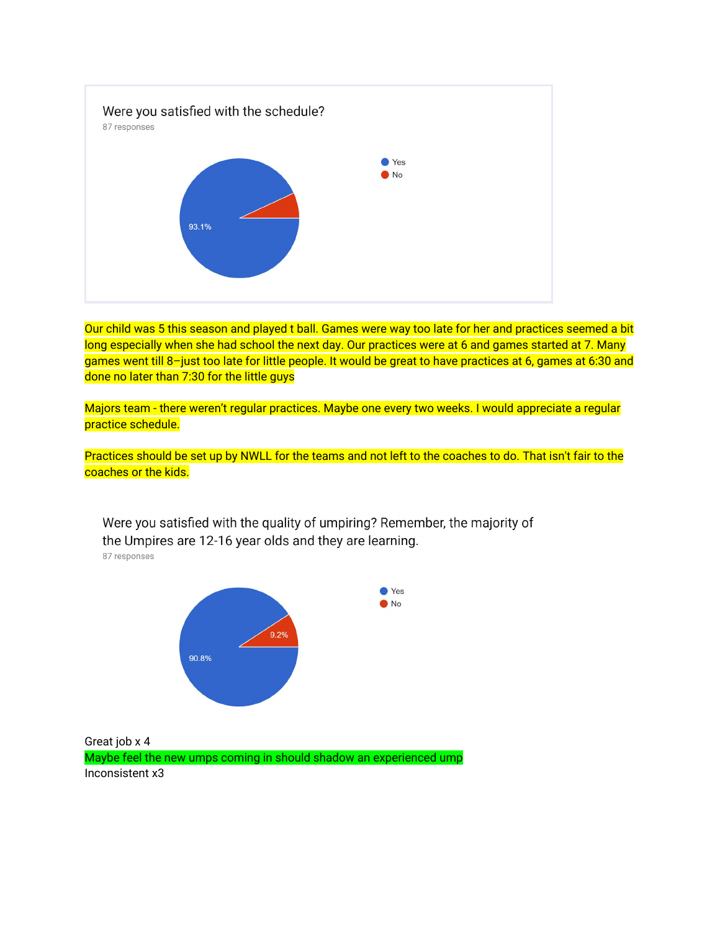

Our child was 5 this season and played t ball. Games were way too late for her and practices seemed a bit long especially when she had school the next day. Our practices were at 6 and games started at 7. Many games went till 8–just too late for little people. It would be great to have practices at 6, games at 6:30 and done no later than 7:30 for the little guys

Majors team - there weren't regular practices. Maybe one every two weeks. I would appreciate a regular practice schedule.

Practices should be set up by NWLL for the teams and not left to the coaches to do. That isn't fair to the coaches or the kids.

Were you satisfied with the quality of umpiring? Remember, the majority of the Umpires are 12-16 year olds and they are learning. 87 responses



Great job x 4 Maybe feel the new umps coming in should shadow an experienced ump Inconsistent x3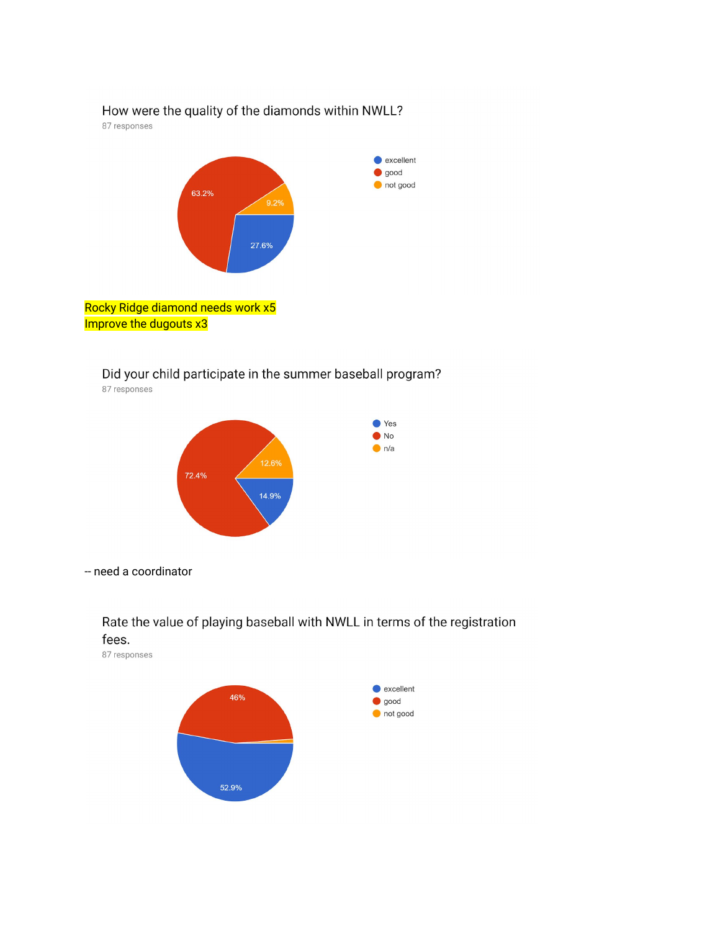### How were the quality of the diamonds within NWLL?

87 responses



Did your child participate in the summer baseball program? 87 responses



-- need a coordinator



87 responses